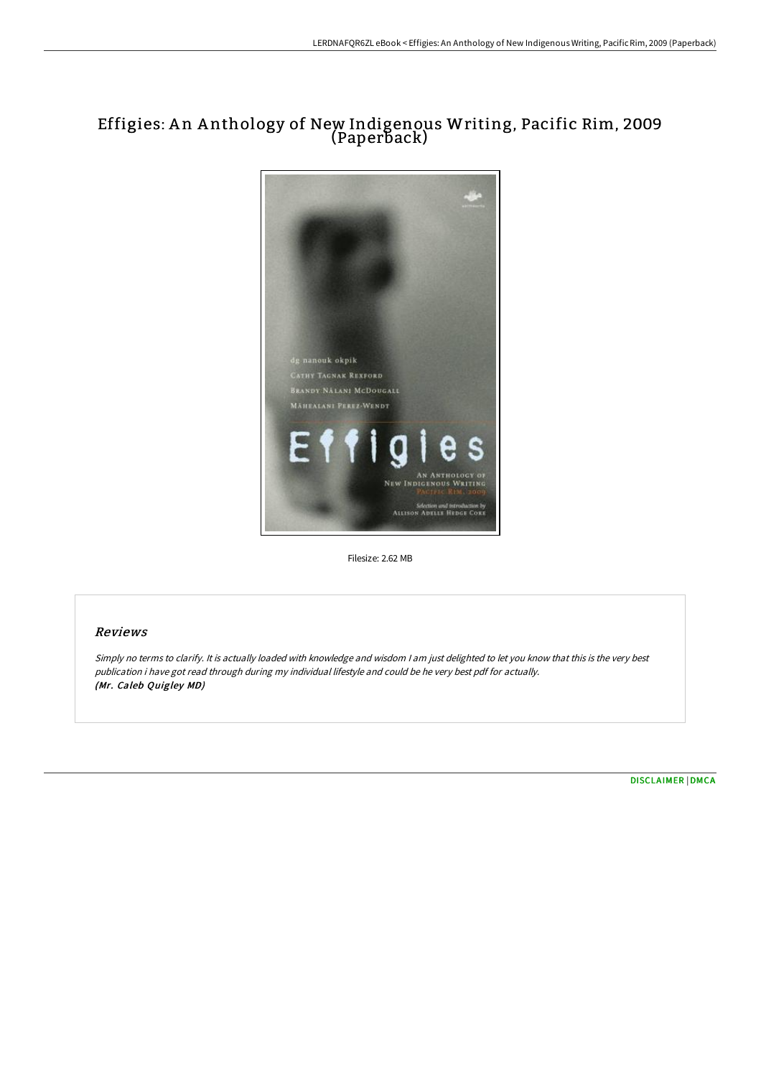# Effigies: A n A nthology of New Indigenous Writing, Pacific Rim, 2009 (Paperback)



Filesize: 2.62 MB

## Reviews

Simply no terms to clarify. It is actually loaded with knowledge and wisdom <sup>I</sup> am just delighted to let you know that this is the very best publication i have got read through during my individual lifestyle and could be he very best pdf for actually. (Mr. Caleb Quigley MD)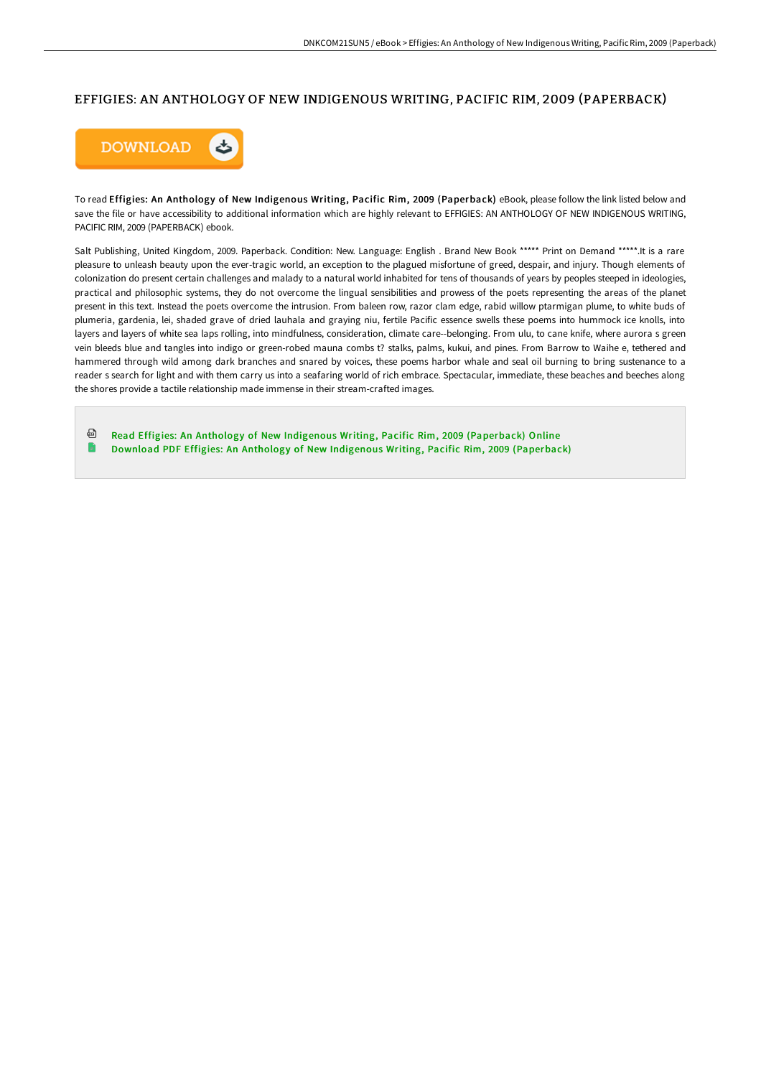### EFFIGIES: AN ANTHOLOGY OF NEW INDIGENOUS WRITING, PACIFIC RIM, 2009 (PAPERBACK)



To read Effigies: An Anthology of New Indigenous Writing, Pacific Rim, 2009 (Paperback) eBook, please follow the link listed below and save the file or have accessibility to additional information which are highly relevant to EFFIGIES: AN ANTHOLOGY OF NEW INDIGENOUS WRITING, PACIFIC RIM, 2009 (PAPERBACK) ebook.

Salt Publishing, United Kingdom, 2009. Paperback. Condition: New. Language: English . Brand New Book \*\*\*\*\* Print on Demand \*\*\*\*\*.It is a rare pleasure to unleash beauty upon the ever-tragic world, an exception to the plagued misfortune of greed, despair, and injury. Though elements of colonization do present certain challenges and malady to a natural world inhabited for tens of thousands of years by peoples steeped in ideologies, practical and philosophic systems, they do not overcome the lingual sensibilities and prowess of the poets representing the areas of the planet present in this text. Instead the poets overcome the intrusion. From baleen row, razor clam edge, rabid willow ptarmigan plume, to white buds of plumeria, gardenia, lei, shaded grave of dried lauhala and graying niu, fertile Pacific essence swells these poems into hummock ice knolls, into layers and layers of white sea laps rolling, into mindfulness, consideration, climate care--belonging. From ulu, to cane knife, where aurora s green vein bleeds blue and tangles into indigo or green-robed mauna combs t? stalks, palms, kukui, and pines. From Barrow to Waihe e, tethered and hammered through wild among dark branches and snared by voices, these poems harbor whale and seal oil burning to bring sustenance to a reader s search for light and with them carry us into a seafaring world of rich embrace. Spectacular, immediate, these beaches and beeches along the shores provide a tactile relationship made immense in their stream-crafted images.

ଈ Read Effigies: An Anthology of New Indigenous Writing, Pacific Rim, 2009 [\(Paperback\)](http://digilib.live/effigies-an-anthology-of-new-indigenous-writing-.html) Online Download PDF Effigies: An Anthology of New Indigenous Writing, Pacific Rim, 2009 [\(Paperback\)](http://digilib.live/effigies-an-anthology-of-new-indigenous-writing-.html)